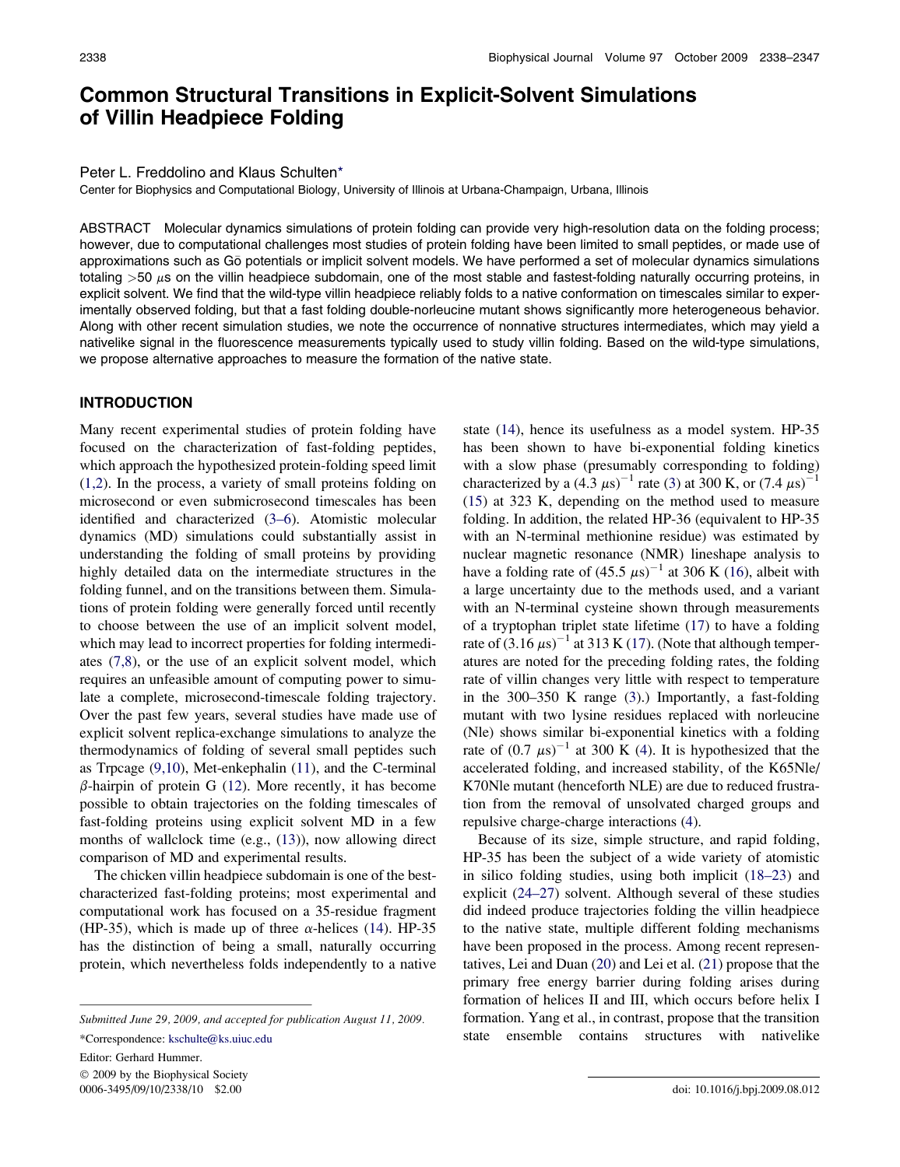# <span id="page-0-0"></span>Common Structural Transitions in Explicit-Solvent Simulations of Villin Headpiece Folding

#### Peter L. Freddolino and Klaus Schulten\*

Center for Biophysics and Computational Biology, University of Illinois at Urbana-Champaign, Urbana, Illinois

ABSTRACT Molecular dynamics simulations of protein folding can provide very high-resolution data on the folding process; however, due to computational challenges most studies of protein folding have been limited to small peptides, or made use of approximations such as Gō potentials or implicit solvent models. We have performed a set of molecular dynamics simulations totaling  $>50 \mu s$  on the villin headpiece subdomain, one of the most stable and fastest-folding naturally occurring proteins, in explicit solvent. We find that the wild-type villin headpiece reliably folds to a native conformation on timescales similar to experimentally observed folding, but that a fast folding double-norleucine mutant shows significantly more heterogeneous behavior. Along with other recent simulation studies, we note the occurrence of nonnative structures intermediates, which may yield a nativelike signal in the fluorescence measurements typically used to study villin folding. Based on the wild-type simulations, we propose alternative approaches to measure the formation of the native state.

## INTRODUCTION

Many recent experimental studies of protein folding have focused on the characterization of fast-folding peptides, which approach the hypothesized protein-folding speed limit ([1,2](#page-8-0)). In the process, a variety of small proteins folding on microsecond or even submicrosecond timescales has been identified and characterized [\(3–6](#page-8-0)). Atomistic molecular dynamics (MD) simulations could substantially assist in understanding the folding of small proteins by providing highly detailed data on the intermediate structures in the folding funnel, and on the transitions between them. Simulations of protein folding were generally forced until recently to choose between the use of an implicit solvent model, which may lead to incorrect properties for folding intermediates [\(7,8\)](#page-8-0), or the use of an explicit solvent model, which requires an unfeasible amount of computing power to simulate a complete, microsecond-timescale folding trajectory. Over the past few years, several studies have made use of explicit solvent replica-exchange simulations to analyze the thermodynamics of folding of several small peptides such as Trpcage [\(9,10\)](#page-8-0), Met-enkephalin ([11\)](#page-8-0), and the C-terminal  $\beta$ -hairpin of protein G [\(12](#page-8-0)). More recently, it has become possible to obtain trajectories on the folding timescales of fast-folding proteins using explicit solvent MD in a few months of wallclock time (e.g., [\(13](#page-8-0))), now allowing direct comparison of MD and experimental results.

The chicken villin headpiece subdomain is one of the bestcharacterized fast-folding proteins; most experimental and computational work has focused on a 35-residue fragment (HP-35), which is made up of three  $\alpha$ -helices [\(14](#page-8-0)). HP-35 has the distinction of being a small, naturally occurring protein, which nevertheless folds independently to a native

\*Correspondence: [kschulte@ks.uiuc.edu](mailto:kschulte@ks.uiuc.edu)

Editor: Gerhard Hummer.

 $© 2009$  by the Biophysical Society 0006-3495/09/10/2338/10 \$2.00 doi: 10.1016/j.bpj.2009.08.012

state ([14\)](#page-8-0), hence its usefulness as a model system. HP-35 has been shown to have bi-exponential folding kinetics with a slow phase (presumably corresponding to folding) characterized by a  $(4.3 \ \mu s)^{-1}$  rate [\(3](#page-8-0)) at 300 K, or (7.4  $\mu s$ )<sup>-</sup> 1 ([15\)](#page-8-0) at 323 K, depending on the method used to measure folding. In addition, the related HP-36 (equivalent to HP-35 with an N-terminal methionine residue) was estimated by nuclear magnetic resonance (NMR) lineshape analysis to have a folding rate of  $(45.5 \ \mu s)^{-1}$  at 306 K ([16\)](#page-8-0), albeit with a large uncertainty due to the methods used, and a variant with an N-terminal cysteine shown through measurements of a tryptophan triplet state lifetime ([17\)](#page-8-0) to have a folding rate of  $(3.16 \,\mu s)^{-1}$  at 313 K [\(17](#page-8-0)). (Note that although temperatures are noted for the preceding folding rates, the folding rate of villin changes very little with respect to temperature in the 300–350 K range ([3\)](#page-8-0).) Importantly, a fast-folding mutant with two lysine residues replaced with norleucine (Nle) shows similar bi-exponential kinetics with a folding rate of  $(0.7 \ \mu s)^{-1}$  at 300 K [\(4](#page-8-0)). It is hypothesized that the accelerated folding, and increased stability, of the K65Nle/ K70Nle mutant (henceforth NLE) are due to reduced frustration from the removal of unsolvated charged groups and repulsive charge-charge interactions ([4\)](#page-8-0).

Because of its size, simple structure, and rapid folding, HP-35 has been the subject of a wide variety of atomistic in silico folding studies, using both implicit ([18–23](#page-8-0)) and explicit ([24–27\)](#page-8-0) solvent. Although several of these studies did indeed produce trajectories folding the villin headpiece to the native state, multiple different folding mechanisms have been proposed in the process. Among recent representatives, Lei and Duan ([20\)](#page-8-0) and Lei et al. [\(21](#page-8-0)) propose that the primary free energy barrier during folding arises during formation of helices II and III, which occurs before helix I formation. Yang et al., in contrast, propose that the transition state ensemble contains structures with nativelike

Submitted June 29, 2009, and accepted for publication August 11, 2009.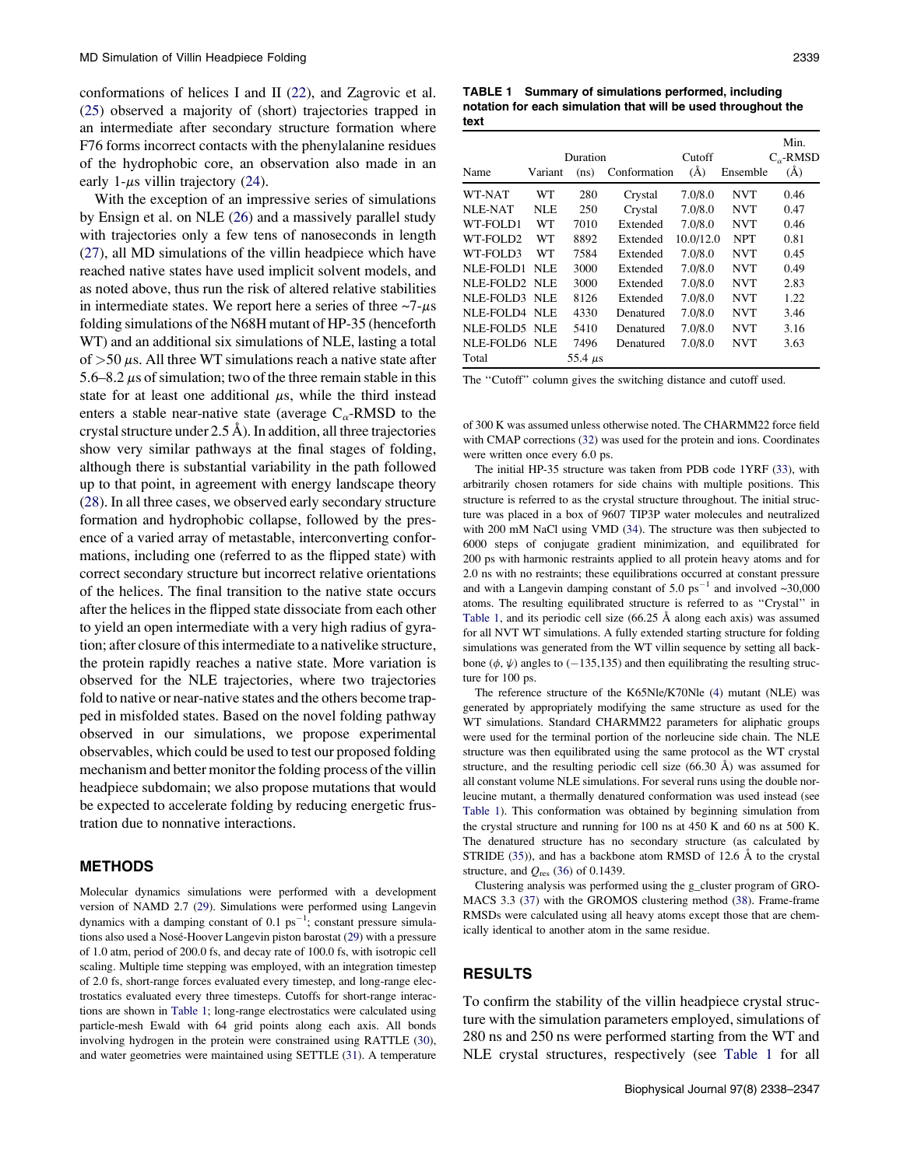<span id="page-1-0"></span>conformations of helices I and II [\(22](#page-8-0)), and Zagrovic et al. ([25\)](#page-8-0) observed a majority of (short) trajectories trapped in an intermediate after secondary structure formation where F76 forms incorrect contacts with the phenylalanine residues of the hydrophobic core, an observation also made in an early 1- $\mu$ s villin trajectory ([24\)](#page-8-0).

With the exception of an impressive series of simulations by Ensign et al. on NLE [\(26](#page-8-0)) and a massively parallel study with trajectories only a few tens of nanoseconds in length ([27\)](#page-8-0), all MD simulations of the villin headpiece which have reached native states have used implicit solvent models, and as noted above, thus run the risk of altered relative stabilities in intermediate states. We report here a series of three  $\sim$ 7- $\mu$ s folding simulations of the N68H mutant of HP-35 (henceforth WT) and an additional six simulations of NLE, lasting a total of  $>50 \mu s$ . All three WT simulations reach a native state after 5.6–8.2  $\mu$ s of simulation; two of the three remain stable in this state for at least one additional  $\mu$ s, while the third instead enters a stable near-native state (average  $C_{\alpha}$ -RMSD to the crystal structure under  $2.5 \text{ Å}$ ). In addition, all three trajectories show very similar pathways at the final stages of folding, although there is substantial variability in the path followed up to that point, in agreement with energy landscape theory ([28\)](#page-8-0). In all three cases, we observed early secondary structure formation and hydrophobic collapse, followed by the presence of a varied array of metastable, interconverting conformations, including one (referred to as the flipped state) with correct secondary structure but incorrect relative orientations of the helices. The final transition to the native state occurs after the helices in the flipped state dissociate from each other to yield an open intermediate with a very high radius of gyration; after closure of this intermediate to a nativelike structure, the protein rapidly reaches a native state. More variation is observed for the NLE trajectories, where two trajectories fold to native or near-native states and the others become trapped in misfolded states. Based on the novel folding pathway observed in our simulations, we propose experimental observables, which could be used to test our proposed folding mechanism and better monitor the folding process of the villin headpiece subdomain; we also propose mutations that would be expected to accelerate folding by reducing energetic frustration due to nonnative interactions.

### METHODS

Molecular dynamics simulations were performed with a development version of NAMD 2.7 [\(29](#page-8-0)). Simulations were performed using Langevin dynamics with a damping constant of 0.1  $ps^{-1}$ ; constant pressure simula-tions also used a Nosé-Hoover Langevin piston barostat ([29\)](#page-8-0) with a pressure of 1.0 atm, period of 200.0 fs, and decay rate of 100.0 fs, with isotropic cell scaling. Multiple time stepping was employed, with an integration timestep of 2.0 fs, short-range forces evaluated every timestep, and long-range electrostatics evaluated every three timesteps. Cutoffs for short-range interactions are shown in Table 1; long-range electrostatics were calculated using particle-mesh Ewald with 64 grid points along each axis. All bonds involving hydrogen in the protein were constrained using RATTLE [\(30\)](#page-8-0), and water geometries were maintained using SETTLE ([31\)](#page-8-0). A temperature

TABLE 1 Summary of simulations performed, including notation for each simulation that will be used throughout the text

|               | Duration  |              |              | Cutoff        |            | Min.<br>$C_{\alpha}$ -RMSD |
|---------------|-----------|--------------|--------------|---------------|------------|----------------------------|
| Name          | Variant   | (ns)         | Conformation | $(\check{A})$ | Ensemble   | $(\check{A})$              |
| WT-NAT        | WТ        | 280          | Crystal      | 7.0/8.0       | <b>NVT</b> | 0.46                       |
| NLE-NAT       | NLE       | 250          | Crystal      | 7.0/8.0       | <b>NVT</b> | 0.47                       |
| WT-FOLD1      | <b>WT</b> | 7010         | Extended     | 7.0/8.0       | <b>NVT</b> | 0.46                       |
| WT-FOLD2      | WТ        | 8892         | Extended     | 10.0/12.0     | <b>NPT</b> | 0.81                       |
| WT-FOLD3      | <b>WT</b> | 7584         | Extended     | 7.0/8.0       | <b>NVT</b> | 0.45                       |
| NLE-FOLD1     | NLE.      | 3000         | Extended     | 7.0/8.0       | <b>NVT</b> | 0.49                       |
| NLE-FOLD2 NLE |           | 3000         | Extended     | 7.0/8.0       | <b>NVT</b> | 2.83                       |
| NLE-FOLD3 NLE |           | 8126         | Extended     | 7.0/8.0       | <b>NVT</b> | 1.22                       |
| NLE-FOLD4     | NLE       | 4330         | Denatured    | 7.0/8.0       | <b>NVT</b> | 3.46                       |
| NLE-FOLD5 NLE |           | 5410         | Denatured    | 7.0/8.0       | <b>NVT</b> | 3.16                       |
| NLE-FOLD6 NLE |           | 7496         | Denatured    | 7.0/8.0       | <b>NVT</b> | 3.63                       |
| Total         |           | 55.4 $\mu$ s |              |               |            |                            |

The ''Cutoff'' column gives the switching distance and cutoff used.

of 300 K was assumed unless otherwise noted. The CHARMM22 force field with CMAP corrections [\(32](#page-8-0)) was used for the protein and ions. Coordinates were written once every 6.0 ps.

The initial HP-35 structure was taken from PDB code 1YRF [\(33](#page-8-0)), with arbitrarily chosen rotamers for side chains with multiple positions. This structure is referred to as the crystal structure throughout. The initial structure was placed in a box of 9607 TIP3P water molecules and neutralized with 200 mM NaCl using VMD [\(34\)](#page-8-0). The structure was then subjected to 6000 steps of conjugate gradient minimization, and equilibrated for 200 ps with harmonic restraints applied to all protein heavy atoms and for 2.0 ns with no restraints; these equilibrations occurred at constant pressure and with a Langevin damping constant of 5.0  $ps^{-1}$  and involved  $\sim$ 30,000 atoms. The resulting equilibrated structure is referred to as ''Crystal'' in Table 1, and its periodic cell size  $(66.25 \text{ Å } \text{along each axis})$  was assumed for all NVT WT simulations. A fully extended starting structure for folding simulations was generated from the WT villin sequence by setting all backbone  $(\phi, \psi)$  angles to (-135,135) and then equilibrating the resulting structure for 100 ps.

The reference structure of the K65Nle/K70Nle [\(4](#page-8-0)) mutant (NLE) was generated by appropriately modifying the same structure as used for the WT simulations. Standard CHARMM22 parameters for aliphatic groups were used for the terminal portion of the norleucine side chain. The NLE structure was then equilibrated using the same protocol as the WT crystal structure, and the resulting periodic cell size  $(66.30 \text{ Å})$  was assumed for all constant volume NLE simulations. For several runs using the double norleucine mutant, a thermally denatured conformation was used instead (see Table 1). This conformation was obtained by beginning simulation from the crystal structure and running for 100 ns at 450 K and 60 ns at 500 K. The denatured structure has no secondary structure (as calculated by STRIDE  $(35)$  $(35)$ , and has a backbone atom RMSD of 12.6 Å to the crystal structure, and  $Q_{res}$  ([36](#page-8-0)) of 0.1439.

Clustering analysis was performed using the g\_cluster program of GRO-MACS 3.3 [\(37](#page-8-0)) with the GROMOS clustering method [\(38](#page-8-0)). Frame-frame RMSDs were calculated using all heavy atoms except those that are chemically identical to another atom in the same residue.

## RESULTS

To confirm the stability of the villin headpiece crystal structure with the simulation parameters employed, simulations of 280 ns and 250 ns were performed starting from the WT and NLE crystal structures, respectively (see Table 1 for all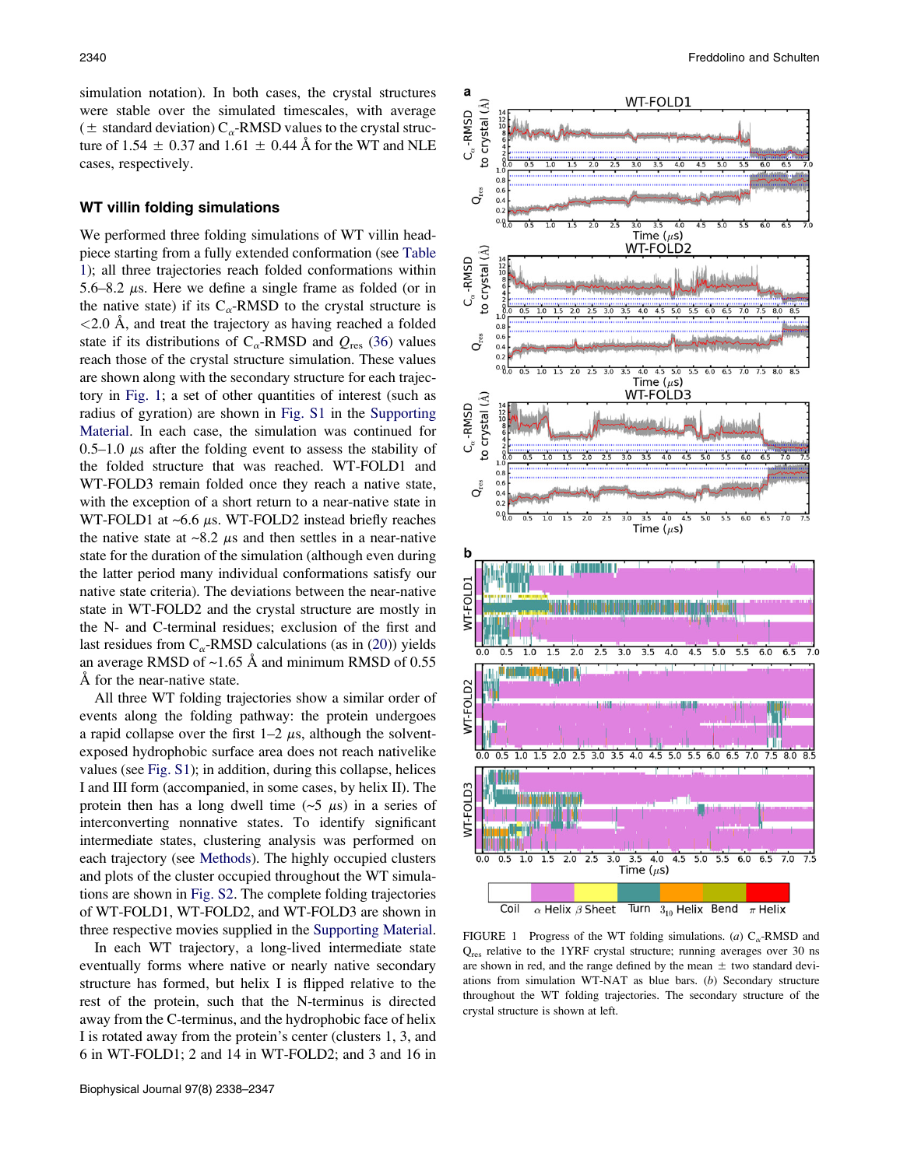simulation notation). In both cases, the crystal structures were stable over the simulated timescales, with average  $(\pm$  standard deviation) C<sub> $\alpha$ </sub>-RMSD values to the crystal structure of 1.54  $\pm$  0.37 and 1.61  $\pm$  0.44 Å for the WT and NLE cases, respectively.

## WT villin folding simulations

We performed three folding simulations of WT villin headpiece starting from a fully extended conformation (see [Table](#page-1-0) [1](#page-1-0)); all three trajectories reach folded conformations within 5.6–8.2  $\mu$ s. Here we define a single frame as folded (or in the native state) if its  $C_{\alpha}$ -RMSD to the crystal structure is  $\langle 2.0 \text{ Å},$  and treat the trajectory as having reached a folded state if its distributions of  $C_{\alpha}$ -RMSD and  $Q_{res}$  [\(36](#page-8-0)) values reach those of the crystal structure simulation. These values are shown along with the secondary structure for each trajectory in Fig. 1; a set of other quantities of interest (such as radius of gyration) are shown in [Fig. S1](#page-7-0) in the [Supporting](#page-7-0) [Material.](#page-7-0) In each case, the simulation was continued for  $0.5-1.0 \mu s$  after the folding event to assess the stability of the folded structure that was reached. WT-FOLD1 and WT-FOLD3 remain folded once they reach a native state, with the exception of a short return to a near-native state in WT-FOLD1 at  $\sim 6.6 \mu s$ . WT-FOLD2 instead briefly reaches the native state at  $\sim$ 8.2  $\mu$ s and then settles in a near-native state for the duration of the simulation (although even during the latter period many individual conformations satisfy our native state criteria). The deviations between the near-native state in WT-FOLD2 and the crystal structure are mostly in the N- and C-terminal residues; exclusion of the first and last residues from  $C_{\alpha}$ -RMSD calculations (as in ([20\)](#page-8-0)) yields an average RMSD of  $~1.65$  Å and minimum RMSD of 0.55 Å for the near-native state.

All three WT folding trajectories show a similar order of events along the folding pathway: the protein undergoes a rapid collapse over the first  $1-2 \mu s$ , although the solventexposed hydrophobic surface area does not reach nativelike values (see [Fig. S1\)](#page-7-0); in addition, during this collapse, helices I and III form (accompanied, in some cases, by helix II). The protein then has a long dwell time  $(\sim 5 \mu s)$  in a series of interconverting nonnative states. To identify significant intermediate states, clustering analysis was performed on each trajectory (see [Methods](#page-1-0)). The highly occupied clusters and plots of the cluster occupied throughout the WT simulations are shown in [Fig. S2.](#page-7-0) The complete folding trajectories of WT-FOLD1, WT-FOLD2, and WT-FOLD3 are shown in three respective movies supplied in the [Supporting Material](#page-7-0).

In each WT trajectory, a long-lived intermediate state eventually forms where native or nearly native secondary structure has formed, but helix I is flipped relative to the rest of the protein, such that the N-terminus is directed away from the C-terminus, and the hydrophobic face of helix I is rotated away from the protein's center (clusters 1, 3, and 6 in WT-FOLD1; 2 and 14 in WT-FOLD2; and 3 and 16 in



FIGURE 1 Progress of the WT folding simulations. (a)  $C_{\alpha}$ -RMSD and Q<sub>res</sub> relative to the 1YRF crystal structure; running averages over 30 ns are shown in red, and the range defined by the mean  $\pm$  two standard deviations from simulation WT-NAT as blue bars. (b) Secondary structure throughout the WT folding trajectories. The secondary structure of the crystal structure is shown at left.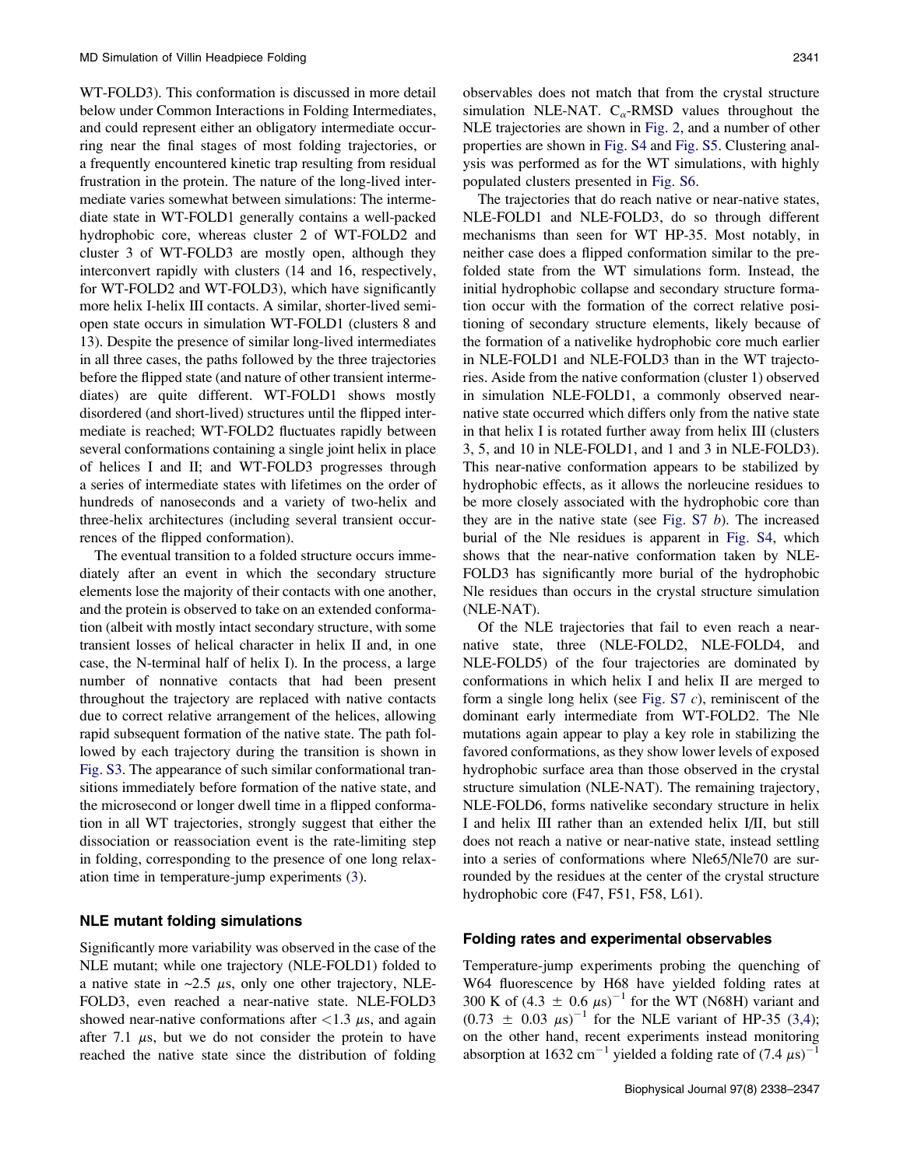WT-FOLD3). This conformation is discussed in more detail below under Common Interactions in Folding Intermediates, and could represent either an obligatory intermediate occurring near the final stages of most folding trajectories, or a frequently encountered kinetic trap resulting from residual frustration in the protein. The nature of the long-lived intermediate varies somewhat between simulations: The intermediate state in WT-FOLD1 generally contains a well-packed hydrophobic core, whereas cluster 2 of WT-FOLD2 and cluster 3 of WT-FOLD3 are mostly open, although they interconvert rapidly with clusters (14 and 16, respectively, for WT-FOLD2 and WT-FOLD3), which have significantly more helix I-helix III contacts. A similar, shorter-lived semiopen state occurs in simulation WT-FOLD1 (clusters 8 and 13). Despite the presence of similar long-lived intermediates in all three cases, the paths followed by the three trajectories before the flipped state (and nature of other transient intermediates) are quite different. WT-FOLD1 shows mostly disordered (and short-lived) structures until the flipped intermediate is reached; WT-FOLD2 fluctuates rapidly between several conformations containing a single joint helix in place of helices I and II; and WT-FOLD3 progresses through a series of intermediate states with lifetimes on the order of hundreds of nanoseconds and a variety of two-helix and three-helix architectures (including several transient occurrences of the flipped conformation).

The eventual transition to a folded structure occurs immediately after an event in which the secondary structure elements lose the majority of their contacts with one another, and the protein is observed to take on an extended conformation (albeit with mostly intact secondary structure, with some transient losses of helical character in helix II and, in one case, the N-terminal half of helix I). In the process, a large number of nonnative contacts that had been present throughout the trajectory are replaced with native contacts due to correct relative arrangement of the helices, allowing rapid subsequent formation of the native state. The path followed by each trajectory during the transition is shown in [Fig. S3.](#page-7-0) The appearance of such similar conformational transitions immediately before formation of the native state, and the microsecond or longer dwell time in a flipped conformation in all WT trajectories, strongly suggest that either the dissociation or reassociation event is the rate-limiting step in folding, corresponding to the presence of one long relaxation time in temperature-jump experiments [\(3](#page-8-0)).

#### NLE mutant folding simulations

Significantly more variability was observed in the case of the NLE mutant; while one trajectory (NLE-FOLD1) folded to a native state in  $\approx 2.5$   $\mu$ s, only one other trajectory, NLE-FOLD3, even reached a near-native state. NLE-FOLD3 showed near-native conformations after  $\langle 1.3 \mu s, \text{ and again} \rangle$ after 7.1  $\mu$ s, but we do not consider the protein to have reached the native state since the distribution of folding observables does not match that from the crystal structure simulation NLE-NAT.  $C_{\alpha}$ -RMSD values throughout the NLE trajectories are shown in [Fig. 2,](#page-4-0) and a number of other properties are shown in [Fig. S4](#page-7-0) and [Fig. S5](#page-7-0). Clustering analysis was performed as for the WT simulations, with highly populated clusters presented in [Fig. S6](#page-7-0).

The trajectories that do reach native or near-native states, NLE-FOLD1 and NLE-FOLD3, do so through different mechanisms than seen for WT HP-35. Most notably, in neither case does a flipped conformation similar to the prefolded state from the WT simulations form. Instead, the initial hydrophobic collapse and secondary structure formation occur with the formation of the correct relative positioning of secondary structure elements, likely because of the formation of a nativelike hydrophobic core much earlier in NLE-FOLD1 and NLE-FOLD3 than in the WT trajectories. Aside from the native conformation (cluster 1) observed in simulation NLE-FOLD1, a commonly observed nearnative state occurred which differs only from the native state in that helix I is rotated further away from helix III (clusters 3, 5, and 10 in NLE-FOLD1, and 1 and 3 in NLE-FOLD3). This near-native conformation appears to be stabilized by hydrophobic effects, as it allows the norleucine residues to be more closely associated with the hydrophobic core than they are in the native state (see Fig.  $S7$  b). The increased burial of the Nle residues is apparent in [Fig. S4](#page-7-0), which shows that the near-native conformation taken by NLE-FOLD3 has significantly more burial of the hydrophobic Nle residues than occurs in the crystal structure simulation (NLE-NAT).

Of the NLE trajectories that fail to even reach a nearnative state, three (NLE-FOLD2, NLE-FOLD4, and NLE-FOLD5) of the four trajectories are dominated by conformations in which helix I and helix II are merged to form a single long helix (see Fig.  $S7$  c), reminiscent of the dominant early intermediate from WT-FOLD2. The Nle mutations again appear to play a key role in stabilizing the favored conformations, as they show lower levels of exposed hydrophobic surface area than those observed in the crystal structure simulation (NLE-NAT). The remaining trajectory, NLE-FOLD6, forms nativelike secondary structure in helix I and helix III rather than an extended helix I/II, but still does not reach a native or near-native state, instead settling into a series of conformations where Nle65/Nle70 are surrounded by the residues at the center of the crystal structure hydrophobic core (F47, F51, F58, L61).

#### Folding rates and experimental observables

Temperature-jump experiments probing the quenching of W64 fluorescence by H68 have yielded folding rates at 300 K of  $(4.3 \pm 0.6 \,\mu s)^{-1}$  for the WT (N68H) variant and  $(0.73 \pm 0.03 \mu s)^{-1}$  for the NLE variant of HP-35 [\(3,4\)](#page-8-0); on the other hand, recent experiments instead monitoring absorption at 1632 cm<sup>-1</sup> yielded a folding rate of  $(7.4 \ \mu s)^{-1}$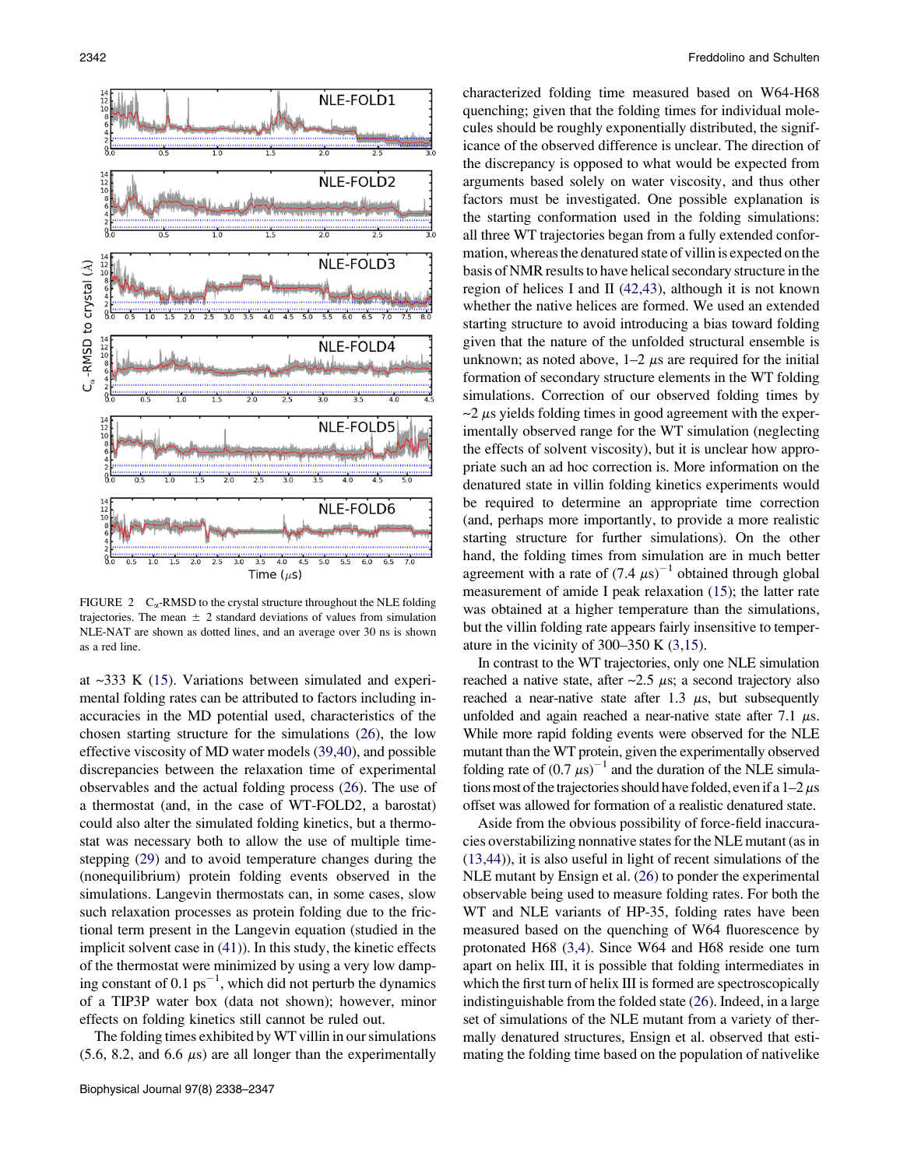<span id="page-4-0"></span>

FIGURE 2  $C_{\alpha}$ -RMSD to the crystal structure throughout the NLE folding trajectories. The mean  $\pm$  2 standard deviations of values from simulation NLE-NAT are shown as dotted lines, and an average over 30 ns is shown as a red line.

at  $\sim$ 333 K ([15\)](#page-8-0). Variations between simulated and experimental folding rates can be attributed to factors including inaccuracies in the MD potential used, characteristics of the chosen starting structure for the simulations ([26\)](#page-8-0), the low effective viscosity of MD water models [\(39,40\)](#page-8-0), and possible discrepancies between the relaxation time of experimental observables and the actual folding process ([26](#page-8-0)). The use of a thermostat (and, in the case of WT-FOLD2, a barostat) could also alter the simulated folding kinetics, but a thermostat was necessary both to allow the use of multiple timestepping ([29\)](#page-8-0) and to avoid temperature changes during the (nonequilibrium) protein folding events observed in the simulations. Langevin thermostats can, in some cases, slow such relaxation processes as protein folding due to the frictional term present in the Langevin equation (studied in the implicit solvent case in [\(41](#page-8-0))). In this study, the kinetic effects of the thermostat were minimized by using a very low damping constant of 0.1  $ps^{-1}$ , which did not perturb the dynamics of a TIP3P water box (data not shown); however, minor effects on folding kinetics still cannot be ruled out.

The folding times exhibited by WT villin in our simulations  $(5.6, 8.2,$  and  $6.6 \mu s)$  are all longer than the experimentally characterized folding time measured based on W64-H68 quenching; given that the folding times for individual molecules should be roughly exponentially distributed, the significance of the observed difference is unclear. The direction of the discrepancy is opposed to what would be expected from arguments based solely on water viscosity, and thus other factors must be investigated. One possible explanation is the starting conformation used in the folding simulations: all three WT trajectories began from a fully extended conformation, whereas the denatured state of villin is expected on the basis of NMR results to have helical secondary structure in the region of helices I and II [\(42,43\)](#page-8-0), although it is not known whether the native helices are formed. We used an extended starting structure to avoid introducing a bias toward folding given that the nature of the unfolded structural ensemble is unknown; as noted above,  $1-2$   $\mu$ s are required for the initial formation of secondary structure elements in the WT folding simulations. Correction of our observed folding times by  $\sim$ 2  $\mu$ s yields folding times in good agreement with the experimentally observed range for the WT simulation (neglecting the effects of solvent viscosity), but it is unclear how appropriate such an ad hoc correction is. More information on the denatured state in villin folding kinetics experiments would be required to determine an appropriate time correction (and, perhaps more importantly, to provide a more realistic starting structure for further simulations). On the other hand, the folding times from simulation are in much better agreement with a rate of  $(7.4 \ \mu s)^{-1}$  obtained through global measurement of amide I peak relaxation ([15\)](#page-8-0); the latter rate was obtained at a higher temperature than the simulations, but the villin folding rate appears fairly insensitive to temperature in the vicinity of  $300-350$  K  $(3,15)$  $(3,15)$  $(3,15)$ .

In contrast to the WT trajectories, only one NLE simulation reached a native state, after  $\sim$ 2.5  $\mu$ s; a second trajectory also reached a near-native state after 1.3  $\mu$ s, but subsequently unfolded and again reached a near-native state after 7.1  $\mu$ s. While more rapid folding events were observed for the NLE mutant than the WT protein, given the experimentally observed folding rate of  $(0.7 \mu s)^{-1}$  and the duration of the NLE simulations most of the trajectories should have folded, even if a  $1-2 \mu s$ offset was allowed for formation of a realistic denatured state.

Aside from the obvious possibility of force-field inaccuracies overstabilizing nonnative states for the NLE mutant (as in ([13,44](#page-8-0))), it is also useful in light of recent simulations of the NLE mutant by Ensign et al. [\(26](#page-8-0)) to ponder the experimental observable being used to measure folding rates. For both the WT and NLE variants of HP-35, folding rates have been measured based on the quenching of W64 fluorescence by protonated H68 [\(3,4\)](#page-8-0). Since W64 and H68 reside one turn apart on helix III, it is possible that folding intermediates in which the first turn of helix III is formed are spectroscopically indistinguishable from the folded state [\(26](#page-8-0)). Indeed, in a large set of simulations of the NLE mutant from a variety of thermally denatured structures, Ensign et al. observed that estimating the folding time based on the population of nativelike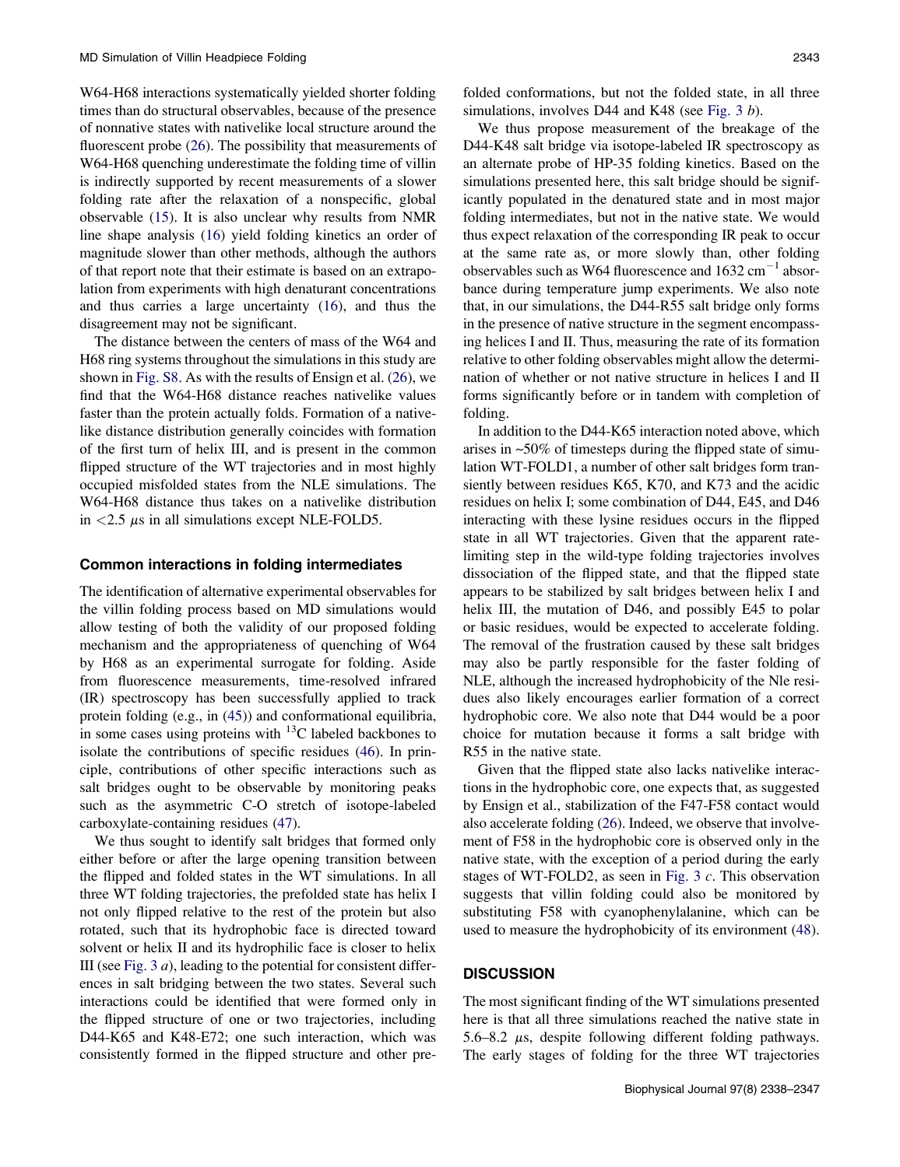W64-H68 interactions systematically yielded shorter folding times than do structural observables, because of the presence of nonnative states with nativelike local structure around the fluorescent probe ([26\)](#page-8-0). The possibility that measurements of W64-H68 quenching underestimate the folding time of villin is indirectly supported by recent measurements of a slower folding rate after the relaxation of a nonspecific, global observable [\(15](#page-8-0)). It is also unclear why results from NMR line shape analysis ([16\)](#page-8-0) yield folding kinetics an order of magnitude slower than other methods, although the authors of that report note that their estimate is based on an extrapolation from experiments with high denaturant concentrations and thus carries a large uncertainty ([16\)](#page-8-0), and thus the disagreement may not be significant.

The distance between the centers of mass of the W64 and H68 ring systems throughout the simulations in this study are shown in [Fig. S8.](#page-7-0) As with the results of Ensign et al. [\(26](#page-8-0)), we find that the W64-H68 distance reaches nativelike values faster than the protein actually folds. Formation of a nativelike distance distribution generally coincides with formation of the first turn of helix III, and is present in the common flipped structure of the WT trajectories and in most highly occupied misfolded states from the NLE simulations. The W64-H68 distance thus takes on a nativelike distribution in  $\langle 2.5 \mu s \rangle$  in all simulations except NLE-FOLD5.

#### Common interactions in folding intermediates

The identification of alternative experimental observables for the villin folding process based on MD simulations would allow testing of both the validity of our proposed folding mechanism and the appropriateness of quenching of W64 by H68 as an experimental surrogate for folding. Aside from fluorescence measurements, time-resolved infrared (IR) spectroscopy has been successfully applied to track protein folding (e.g., in ([45\)](#page-9-0)) and conformational equilibria, in some cases using proteins with  $^{13}$ C labeled backbones to isolate the contributions of specific residues [\(46](#page-9-0)). In principle, contributions of other specific interactions such as salt bridges ought to be observable by monitoring peaks such as the asymmetric C-O stretch of isotope-labeled carboxylate-containing residues [\(47](#page-9-0)).

We thus sought to identify salt bridges that formed only either before or after the large opening transition between the flipped and folded states in the WT simulations. In all three WT folding trajectories, the prefolded state has helix I not only flipped relative to the rest of the protein but also rotated, such that its hydrophobic face is directed toward solvent or helix II and its hydrophilic face is closer to helix III (see [Fig. 3](#page-6-0)  $a$ ), leading to the potential for consistent differences in salt bridging between the two states. Several such interactions could be identified that were formed only in the flipped structure of one or two trajectories, including D44-K65 and K48-E72; one such interaction, which was consistently formed in the flipped structure and other prefolded conformations, but not the folded state, in all three simulations, involves D44 and K48 (see [Fig. 3](#page-6-0) b).

We thus propose measurement of the breakage of the D44-K48 salt bridge via isotope-labeled IR spectroscopy as an alternate probe of HP-35 folding kinetics. Based on the simulations presented here, this salt bridge should be significantly populated in the denatured state and in most major folding intermediates, but not in the native state. We would thus expect relaxation of the corresponding IR peak to occur at the same rate as, or more slowly than, other folding observables such as W64 fluorescence and  $1632 \text{ cm}^{-1}$  absorbance during temperature jump experiments. We also note that, in our simulations, the D44-R55 salt bridge only forms in the presence of native structure in the segment encompassing helices I and II. Thus, measuring the rate of its formation relative to other folding observables might allow the determination of whether or not native structure in helices I and II forms significantly before or in tandem with completion of folding.

In addition to the D44-K65 interaction noted above, which arises in  $\sim$ 50% of timesteps during the flipped state of simulation WT-FOLD1, a number of other salt bridges form transiently between residues K65, K70, and K73 and the acidic residues on helix I; some combination of D44, E45, and D46 interacting with these lysine residues occurs in the flipped state in all WT trajectories. Given that the apparent ratelimiting step in the wild-type folding trajectories involves dissociation of the flipped state, and that the flipped state appears to be stabilized by salt bridges between helix I and helix III, the mutation of D46, and possibly E45 to polar or basic residues, would be expected to accelerate folding. The removal of the frustration caused by these salt bridges may also be partly responsible for the faster folding of NLE, although the increased hydrophobicity of the Nle residues also likely encourages earlier formation of a correct hydrophobic core. We also note that D44 would be a poor choice for mutation because it forms a salt bridge with R55 in the native state.

Given that the flipped state also lacks nativelike interactions in the hydrophobic core, one expects that, as suggested by Ensign et al., stabilization of the F47-F58 contact would also accelerate folding ([26\)](#page-8-0). Indeed, we observe that involvement of F58 in the hydrophobic core is observed only in the native state, with the exception of a period during the early stages of WT-FOLD2, as seen in [Fig. 3](#page-6-0) c. This observation suggests that villin folding could also be monitored by substituting F58 with cyanophenylalanine, which can be used to measure the hydrophobicity of its environment ([48\)](#page-9-0).

## **DISCUSSION**

The most significant finding of the WT simulations presented here is that all three simulations reached the native state in 5.6–8.2  $\mu$ s, despite following different folding pathways. The early stages of folding for the three WT trajectories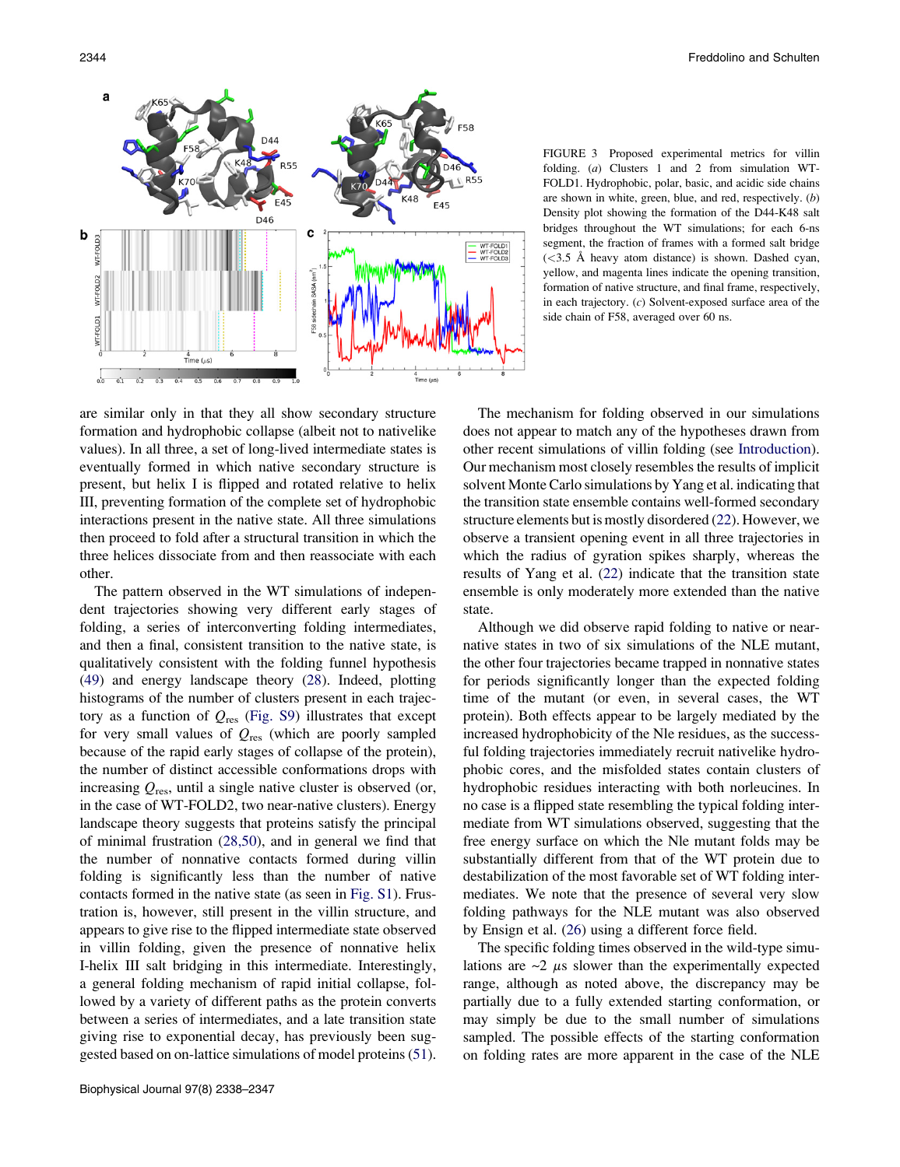<span id="page-6-0"></span>

FIGURE 3 Proposed experimental metrics for villin folding. (a) Clusters 1 and 2 from simulation WT-FOLD1. Hydrophobic, polar, basic, and acidic side chains are shown in white, green, blue, and red, respectively. (b) Density plot showing the formation of the D44-K48 salt bridges throughout the WT simulations; for each 6-ns segment, the fraction of frames with a formed salt bridge  $(<$ 3.5 Å heavy atom distance) is shown. Dashed cyan, yellow, and magenta lines indicate the opening transition, formation of native structure, and final frame, respectively, in each trajectory. (c) Solvent-exposed surface area of the side chain of F58, averaged over 60 ns.

are similar only in that they all show secondary structure formation and hydrophobic collapse (albeit not to nativelike values). In all three, a set of long-lived intermediate states is eventually formed in which native secondary structure is present, but helix I is flipped and rotated relative to helix III, preventing formation of the complete set of hydrophobic interactions present in the native state. All three simulations then proceed to fold after a structural transition in which the three helices dissociate from and then reassociate with each other.

The pattern observed in the WT simulations of independent trajectories showing very different early stages of folding, a series of interconverting folding intermediates, and then a final, consistent transition to the native state, is qualitatively consistent with the folding funnel hypothesis ([49\)](#page-9-0) and energy landscape theory ([28\)](#page-8-0). Indeed, plotting histograms of the number of clusters present in each trajectory as a function of  $Q_{res}$  [\(Fig. S9\)](#page-7-0) illustrates that except for very small values of  $Q_{\text{res}}$  (which are poorly sampled because of the rapid early stages of collapse of the protein), the number of distinct accessible conformations drops with increasing  $Q_{\text{res}}$ , until a single native cluster is observed (or, in the case of WT-FOLD2, two near-native clusters). Energy landscape theory suggests that proteins satisfy the principal of minimal frustration ([28,50](#page-8-0)), and in general we find that the number of nonnative contacts formed during villin folding is significantly less than the number of native contacts formed in the native state (as seen in [Fig. S1\)](#page-7-0). Frustration is, however, still present in the villin structure, and appears to give rise to the flipped intermediate state observed in villin folding, given the presence of nonnative helix I-helix III salt bridging in this intermediate. Interestingly, a general folding mechanism of rapid initial collapse, followed by a variety of different paths as the protein converts between a series of intermediates, and a late transition state giving rise to exponential decay, has previously been suggested based on on-lattice simulations of model proteins ([51\)](#page-9-0).

The mechanism for folding observed in our simulations does not appear to match any of the hypotheses drawn from other recent simulations of villin folding (see [Introduction\)](#page-0-0). Our mechanism most closely resembles the results of implicit solvent Monte Carlo simulations by Yang et al. indicating that the transition state ensemble contains well-formed secondary structure elements but is mostly disordered [\(22](#page-8-0)). However, we observe a transient opening event in all three trajectories in which the radius of gyration spikes sharply, whereas the results of Yang et al. [\(22](#page-8-0)) indicate that the transition state ensemble is only moderately more extended than the native state.

Although we did observe rapid folding to native or nearnative states in two of six simulations of the NLE mutant, the other four trajectories became trapped in nonnative states for periods significantly longer than the expected folding time of the mutant (or even, in several cases, the WT protein). Both effects appear to be largely mediated by the increased hydrophobicity of the Nle residues, as the successful folding trajectories immediately recruit nativelike hydrophobic cores, and the misfolded states contain clusters of hydrophobic residues interacting with both norleucines. In no case is a flipped state resembling the typical folding intermediate from WT simulations observed, suggesting that the free energy surface on which the Nle mutant folds may be substantially different from that of the WT protein due to destabilization of the most favorable set of WT folding intermediates. We note that the presence of several very slow folding pathways for the NLE mutant was also observed by Ensign et al. ([26\)](#page-8-0) using a different force field.

The specific folding times observed in the wild-type simulations are  $\sim$ 2  $\mu$ s slower than the experimentally expected range, although as noted above, the discrepancy may be partially due to a fully extended starting conformation, or may simply be due to the small number of simulations sampled. The possible effects of the starting conformation on folding rates are more apparent in the case of the NLE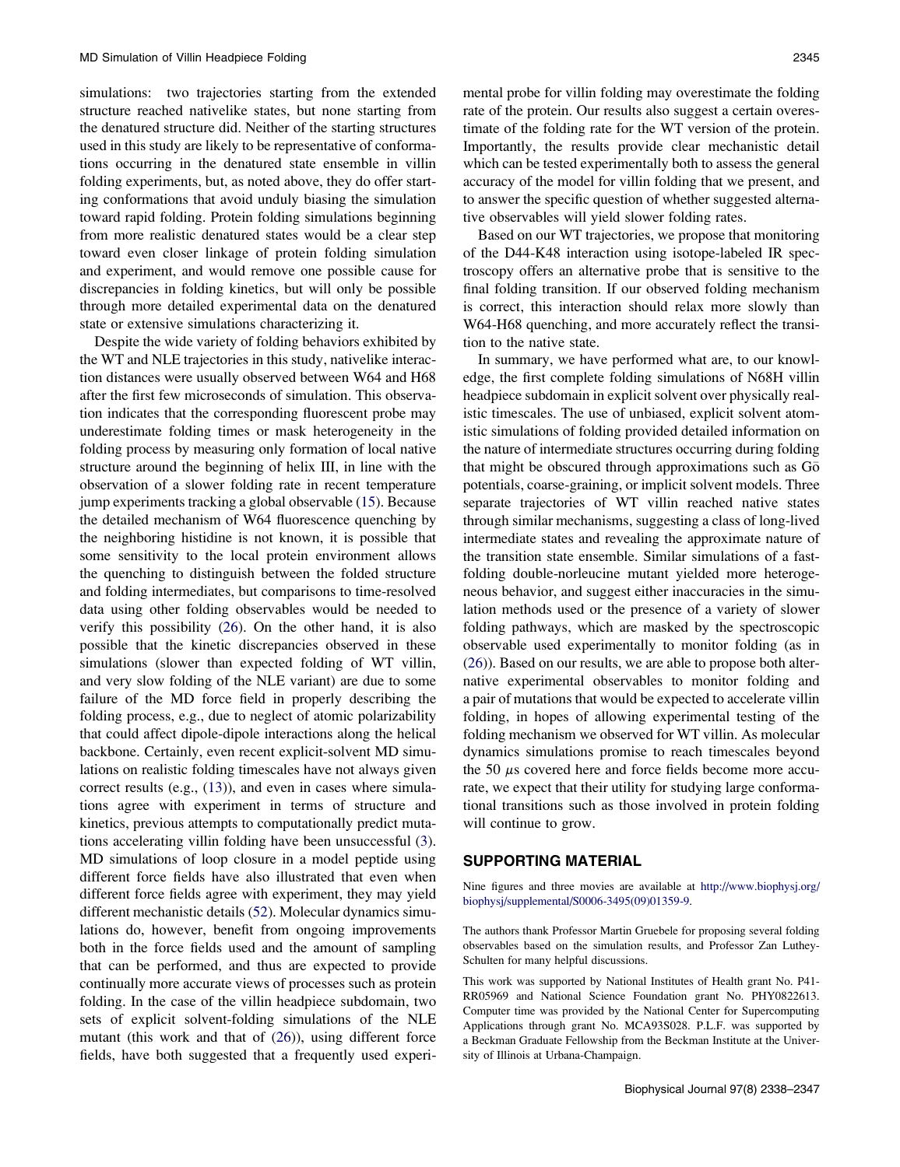<span id="page-7-0"></span>simulations: two trajectories starting from the extended structure reached nativelike states, but none starting from the denatured structure did. Neither of the starting structures used in this study are likely to be representative of conformations occurring in the denatured state ensemble in villin folding experiments, but, as noted above, they do offer starting conformations that avoid unduly biasing the simulation toward rapid folding. Protein folding simulations beginning from more realistic denatured states would be a clear step toward even closer linkage of protein folding simulation and experiment, and would remove one possible cause for discrepancies in folding kinetics, but will only be possible through more detailed experimental data on the denatured state or extensive simulations characterizing it.

Despite the wide variety of folding behaviors exhibited by the WT and NLE trajectories in this study, nativelike interaction distances were usually observed between W64 and H68 after the first few microseconds of simulation. This observation indicates that the corresponding fluorescent probe may underestimate folding times or mask heterogeneity in the folding process by measuring only formation of local native structure around the beginning of helix III, in line with the observation of a slower folding rate in recent temperature jump experiments tracking a global observable ([15\)](#page-8-0). Because the detailed mechanism of W64 fluorescence quenching by the neighboring histidine is not known, it is possible that some sensitivity to the local protein environment allows the quenching to distinguish between the folded structure and folding intermediates, but comparisons to time-resolved data using other folding observables would be needed to verify this possibility ([26\)](#page-8-0). On the other hand, it is also possible that the kinetic discrepancies observed in these simulations (slower than expected folding of WT villin, and very slow folding of the NLE variant) are due to some failure of the MD force field in properly describing the folding process, e.g., due to neglect of atomic polarizability that could affect dipole-dipole interactions along the helical backbone. Certainly, even recent explicit-solvent MD simulations on realistic folding timescales have not always given correct results (e.g., [\(13](#page-8-0))), and even in cases where simulations agree with experiment in terms of structure and kinetics, previous attempts to computationally predict mutations accelerating villin folding have been unsuccessful ([3\)](#page-8-0). MD simulations of loop closure in a model peptide using different force fields have also illustrated that even when different force fields agree with experiment, they may yield different mechanistic details ([52\)](#page-9-0). Molecular dynamics simulations do, however, benefit from ongoing improvements both in the force fields used and the amount of sampling that can be performed, and thus are expected to provide continually more accurate views of processes such as protein folding. In the case of the villin headpiece subdomain, two sets of explicit solvent-folding simulations of the NLE mutant (this work and that of [\(26](#page-8-0))), using different force fields, have both suggested that a frequently used experimental probe for villin folding may overestimate the folding rate of the protein. Our results also suggest a certain overestimate of the folding rate for the WT version of the protein. Importantly, the results provide clear mechanistic detail which can be tested experimentally both to assess the general accuracy of the model for villin folding that we present, and to answer the specific question of whether suggested alternative observables will yield slower folding rates.

Based on our WT trajectories, we propose that monitoring of the D44-K48 interaction using isotope-labeled IR spectroscopy offers an alternative probe that is sensitive to the final folding transition. If our observed folding mechanism is correct, this interaction should relax more slowly than W64-H68 quenching, and more accurately reflect the transition to the native state.

In summary, we have performed what are, to our knowledge, the first complete folding simulations of N68H villin headpiece subdomain in explicit solvent over physically realistic timescales. The use of unbiased, explicit solvent atomistic simulations of folding provided detailed information on the nature of intermediate structures occurring during folding that might be obscured through approximations such as  $G\bar{o}$ potentials, coarse-graining, or implicit solvent models. Three separate trajectories of WT villin reached native states through similar mechanisms, suggesting a class of long-lived intermediate states and revealing the approximate nature of the transition state ensemble. Similar simulations of a fastfolding double-norleucine mutant yielded more heterogeneous behavior, and suggest either inaccuracies in the simulation methods used or the presence of a variety of slower folding pathways, which are masked by the spectroscopic observable used experimentally to monitor folding (as in ([26\)](#page-8-0)). Based on our results, we are able to propose both alternative experimental observables to monitor folding and a pair of mutations that would be expected to accelerate villin folding, in hopes of allowing experimental testing of the folding mechanism we observed for WT villin. As molecular dynamics simulations promise to reach timescales beyond the 50  $\mu$ s covered here and force fields become more accurate, we expect that their utility for studying large conformational transitions such as those involved in protein folding will continue to grow.

## SUPPORTING MATERIAL

Nine figures and three movies are available at [http://www.biophysj.org/](http://www.biophysj.org/biophysj/supplemental/S0006-3495(09)01359-9) [biophysj/supplemental/S0006-3495\(09\)01359-9](http://www.biophysj.org/biophysj/supplemental/S0006-3495(09)01359-9).

The authors thank Professor Martin Gruebele for proposing several folding observables based on the simulation results, and Professor Zan Luthey-Schulten for many helpful discussions.

This work was supported by National Institutes of Health grant No. P41- RR05969 and National Science Foundation grant No. PHY0822613. Computer time was provided by the National Center for Supercomputing Applications through grant No. MCA93S028. P.L.F. was supported by a Beckman Graduate Fellowship from the Beckman Institute at the University of Illinois at Urbana-Champaign.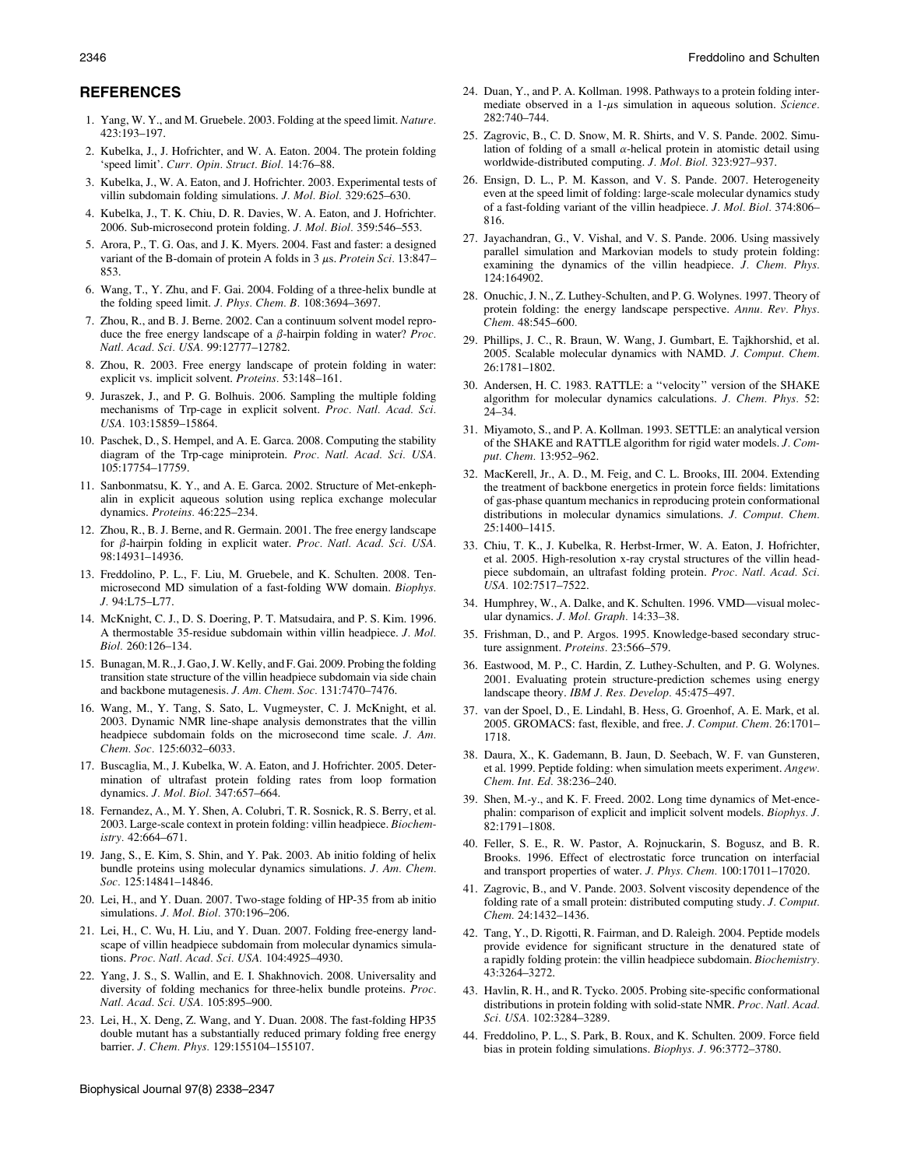#### <span id="page-8-0"></span>**REFERENCES**

- 1. Yang, W. Y., and M. Gruebele. 2003. Folding at the speed limit. Nature. 423:193–197.
- 2. Kubelka, J., J. Hofrichter, and W. A. Eaton. 2004. The protein folding 'speed limit'. Curr. Opin. Struct. Biol. 14:76–88.
- 3. Kubelka, J., W. A. Eaton, and J. Hofrichter. 2003. Experimental tests of villin subdomain folding simulations. J. Mol. Biol. 329:625–630.
- 4. Kubelka, J., T. K. Chiu, D. R. Davies, W. A. Eaton, and J. Hofrichter. 2006. Sub-microsecond protein folding. J. Mol. Biol. 359:546–553.
- 5. Arora, P., T. G. Oas, and J. K. Myers. 2004. Fast and faster: a designed variant of the B-domain of protein A folds in  $3 \mu s$ . Protein Sci. 13:847– 853.
- 6. Wang, T., Y. Zhu, and F. Gai. 2004. Folding of a three-helix bundle at the folding speed limit. J. Phys. Chem. B. 108:3694–3697.
- 7. Zhou, R., and B. J. Berne. 2002. Can a continuum solvent model reproduce the free energy landscape of a  $\beta$ -hairpin folding in water? *Proc.* Natl. Acad. Sci. USA. 99:12777–12782.
- 8. Zhou, R. 2003. Free energy landscape of protein folding in water: explicit vs. implicit solvent. Proteins. 53:148–161.
- 9. Juraszek, J., and P. G. Bolhuis. 2006. Sampling the multiple folding mechanisms of Trp-cage in explicit solvent. Proc. Natl. Acad. Sci. USA. 103:15859–15864.
- 10. Paschek, D., S. Hempel, and A. E. Garca. 2008. Computing the stability diagram of the Trp-cage miniprotein. Proc. Natl. Acad. Sci. USA. 105:17754–17759.
- 11. Sanbonmatsu, K. Y., and A. E. Garca. 2002. Structure of Met-enkephalin in explicit aqueous solution using replica exchange molecular dynamics. Proteins. 46:225–234.
- 12. Zhou, R., B. J. Berne, and R. Germain. 2001. The free energy landscape for b-hairpin folding in explicit water. Proc. Natl. Acad. Sci. USA. 98:14931–14936.
- 13. Freddolino, P. L., F. Liu, M. Gruebele, and K. Schulten. 2008. Tenmicrosecond MD simulation of a fast-folding WW domain. Biophys. J. 94:L75–L77.
- 14. McKnight, C. J., D. S. Doering, P. T. Matsudaira, and P. S. Kim. 1996. A thermostable 35-residue subdomain within villin headpiece. J. Mol. Biol. 260:126–134.
- 15. Bunagan, M. R., J. Gao, J.W. Kelly, and F. Gai. 2009. Probing the folding transition state structure of the villin headpiece subdomain via side chain and backbone mutagenesis. J. Am. Chem. Soc. 131:7470–7476.
- 16. Wang, M., Y. Tang, S. Sato, L. Vugmeyster, C. J. McKnight, et al. 2003. Dynamic NMR line-shape analysis demonstrates that the villin headpiece subdomain folds on the microsecond time scale. J. Am. Chem. Soc. 125:6032–6033.
- 17. Buscaglia, M., J. Kubelka, W. A. Eaton, and J. Hofrichter. 2005. Determination of ultrafast protein folding rates from loop formation dynamics. J. Mol. Biol. 347:657–664.
- 18. Fernandez, A., M. Y. Shen, A. Colubri, T. R. Sosnick, R. S. Berry, et al. 2003. Large-scale context in protein folding: villin headpiece. Biochemistry. 42:664–671.
- 19. Jang, S., E. Kim, S. Shin, and Y. Pak. 2003. Ab initio folding of helix bundle proteins using molecular dynamics simulations. *J. Am. Chem.* Soc. 125:14841–14846.
- 20. Lei, H., and Y. Duan. 2007. Two-stage folding of HP-35 from ab initio simulations. J. Mol. Biol. 370:196–206.
- 21. Lei, H., C. Wu, H. Liu, and Y. Duan. 2007. Folding free-energy landscape of villin headpiece subdomain from molecular dynamics simulations. Proc. Natl. Acad. Sci. USA. 104:4925–4930.
- 22. Yang, J. S., S. Wallin, and E. I. Shakhnovich. 2008. Universality and diversity of folding mechanics for three-helix bundle proteins. Proc. Natl. Acad. Sci. USA. 105:895–900.
- 23. Lei, H., X. Deng, Z. Wang, and Y. Duan. 2008. The fast-folding HP35 double mutant has a substantially reduced primary folding free energy barrier. J. Chem. Phys. 129:155104–155107.
- 24. Duan, Y., and P. A. Kollman. 1998. Pathways to a protein folding intermediate observed in a  $1-\mu s$  simulation in aqueous solution. Science. 282:740–744.
- 25. Zagrovic, B., C. D. Snow, M. R. Shirts, and V. S. Pande. 2002. Simulation of folding of a small  $\alpha$ -helical protein in atomistic detail using worldwide-distributed computing. J. Mol. Biol. 323:927–937.
- 26. Ensign, D. L., P. M. Kasson, and V. S. Pande. 2007. Heterogeneity even at the speed limit of folding: large-scale molecular dynamics study of a fast-folding variant of the villin headpiece. J. Mol. Biol. 374:806– 816.
- 27. Jayachandran, G., V. Vishal, and V. S. Pande. 2006. Using massively parallel simulation and Markovian models to study protein folding: examining the dynamics of the villin headpiece. J. Chem. Phys. 124:164902.
- 28. Onuchic, J. N., Z. Luthey-Schulten, and P. G. Wolynes. 1997. Theory of protein folding: the energy landscape perspective. Annu. Rev. Phys. Chem. 48:545–600.
- 29. Phillips, J. C., R. Braun, W. Wang, J. Gumbart, E. Tajkhorshid, et al. 2005. Scalable molecular dynamics with NAMD. J. Comput. Chem. 26:1781–1802.
- 30. Andersen, H. C. 1983. RATTLE: a ''velocity'' version of the SHAKE algorithm for molecular dynamics calculations. J. Chem. Phys. 52: 24–34.
- 31. Miyamoto, S., and P. A. Kollman. 1993. SETTLE: an analytical version of the SHAKE and RATTLE algorithm for rigid water models. J. Comput. Chem. 13:952–962.
- 32. MacKerell, Jr., A. D., M. Feig, and C. L. Brooks, III. 2004. Extending the treatment of backbone energetics in protein force fields: limitations of gas-phase quantum mechanics in reproducing protein conformational distributions in molecular dynamics simulations. J. Comput. Chem. 25:1400–1415.
- 33. Chiu, T. K., J. Kubelka, R. Herbst-Irmer, W. A. Eaton, J. Hofrichter, et al. 2005. High-resolution x-ray crystal structures of the villin headpiece subdomain, an ultrafast folding protein. Proc. Natl. Acad. Sci. USA. 102:7517–7522.
- 34. Humphrey, W., A. Dalke, and K. Schulten. 1996. VMD—visual molecular dynamics. J. Mol. Graph. 14:33–38.
- 35. Frishman, D., and P. Argos. 1995. Knowledge-based secondary structure assignment. Proteins. 23:566–579.
- 36. Eastwood, M. P., C. Hardin, Z. Luthey-Schulten, and P. G. Wolynes. 2001. Evaluating protein structure-prediction schemes using energy landscape theory. IBM J. Res. Develop. 45:475–497.
- 37. van der Spoel, D., E. Lindahl, B. Hess, G. Groenhof, A. E. Mark, et al. 2005. GROMACS: fast, flexible, and free. J. Comput. Chem. 26:1701– 1718.
- 38. Daura, X., K. Gademann, B. Jaun, D. Seebach, W. F. van Gunsteren, et al. 1999. Peptide folding: when simulation meets experiment. Angew. Chem. Int. Ed. 38:236–240.
- 39. Shen, M.-y., and K. F. Freed. 2002. Long time dynamics of Met-encephalin: comparison of explicit and implicit solvent models. Biophys. J. 82:1791–1808.
- 40. Feller, S. E., R. W. Pastor, A. Rojnuckarin, S. Bogusz, and B. R. Brooks. 1996. Effect of electrostatic force truncation on interfacial and transport properties of water. J. Phys. Chem. 100:17011–17020.
- 41. Zagrovic, B., and V. Pande. 2003. Solvent viscosity dependence of the folding rate of a small protein: distributed computing study. J. Comput. Chem. 24:1432–1436.
- 42. Tang, Y., D. Rigotti, R. Fairman, and D. Raleigh. 2004. Peptide models provide evidence for significant structure in the denatured state of a rapidly folding protein: the villin headpiece subdomain. Biochemistry. 43:3264–3272.
- 43. Havlin, R. H., and R. Tycko. 2005. Probing site-specific conformational distributions in protein folding with solid-state NMR. Proc. Natl. Acad. Sci. USA. 102:3284–3289.
- 44. Freddolino, P. L., S. Park, B. Roux, and K. Schulten. 2009. Force field bias in protein folding simulations. Biophys. J. 96:3772–3780.